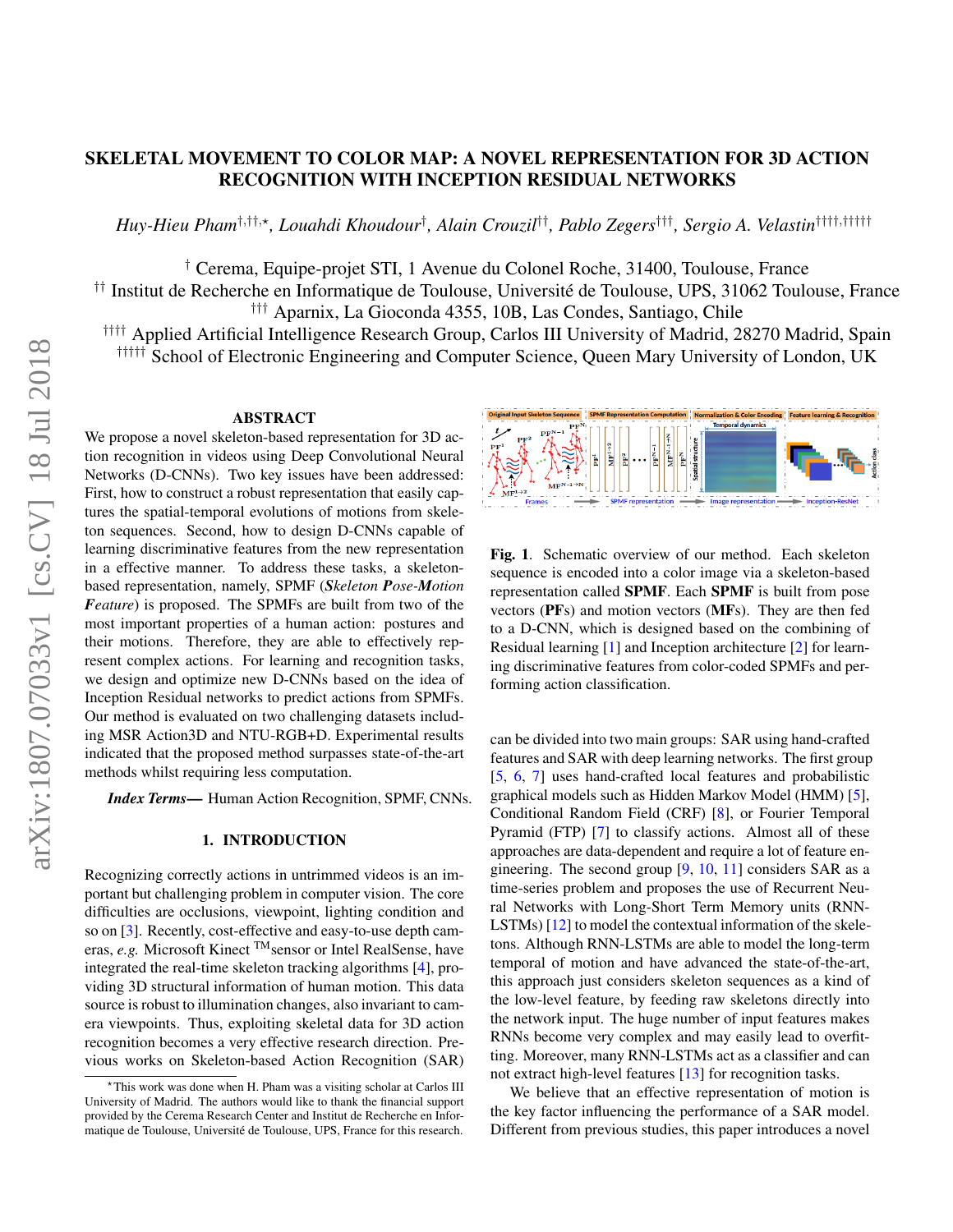# SKELETAL MOVEMENT TO COLOR MAP: A NOVEL REPRESENTATION FOR 3D ACTION RECOGNITION WITH INCEPTION RESIDUAL NETWORKS

*Huy-Hieu Pham*†,††,?*, Louahdi Khoudour*† *, Alain Crouzil*††*, Pablo Zegers*†††*, Sergio A. Velastin*††††,†††††

† Cerema, Equipe-projet STI, 1 Avenue du Colonel Roche, 31400, Toulouse, France

<sup>††</sup> Institut de Recherche en Informatique de Toulouse, Université de Toulouse, UPS, 31062 Toulouse, France ††† Aparnix, La Gioconda 4355, 10B, Las Condes, Santiago, Chile

†††† Applied Artificial Intelligence Research Group, Carlos III University of Madrid, 28270 Madrid, Spain ††††† School of Electronic Engineering and Computer Science, Queen Mary University of London, UK

#### ABSTRACT

We propose a novel skeleton-based representation for 3D action recognition in videos using Deep Convolutional Neural Networks (D-CNNs). Two key issues have been addressed: First, how to construct a robust representation that easily captures the spatial-temporal evolutions of motions from skeleton sequences. Second, how to design D-CNNs capable of learning discriminative features from the new representation in a effective manner. To address these tasks, a skeletonbased representation, namely, SPMF (*Skeleton Pose-Motion Feature*) is proposed. The SPMFs are built from two of the most important properties of a human action: postures and their motions. Therefore, they are able to effectively represent complex actions. For learning and recognition tasks, we design and optimize new D-CNNs based on the idea of Inception Residual networks to predict actions from SPMFs. Our method is evaluated on two challenging datasets including MSR Action3D and NTU-RGB+D. Experimental results indicated that the proposed method surpasses state-of-the-art methods whilst requiring less computation.

*Index Terms*— Human Action Recognition, SPMF, CNNs.

# 1. INTRODUCTION

Recognizing correctly actions in untrimmed videos is an important but challenging problem in computer vision. The core difficulties are occlusions, viewpoint, lighting condition and so on [\[3\]](#page-4-0). Recently, cost-effective and easy-to-use depth cameras, *e.g.* Microsoft Kinect <sup>TM</sup> sensor or Intel RealSense, have integrated the real-time skeleton tracking algorithms [\[4\]](#page-4-1), providing 3D structural information of human motion. This data source is robust to illumination changes, also invariant to camera viewpoints. Thus, exploiting skeletal data for 3D action recognition becomes a very effective research direction. Previous works on Skeleton-based Action Recognition (SAR)



<span id="page-0-0"></span>Fig. 1. Schematic overview of our method. Each skeleton sequence is encoded into a color image via a skeleton-based representation called SPMF. Each SPMF is built from pose vectors (PFs) and motion vectors (MFs). They are then fed to a D-CNN, which is designed based on the combining of Residual learning [\[1\]](#page-4-2) and Inception architecture [\[2\]](#page-4-3) for learning discriminative features from color-coded SPMFs and performing action classification.

can be divided into two main groups: SAR using hand-crafted features and SAR with deep learning networks. The first group [\[5,](#page-4-4) [6,](#page-4-5) [7\]](#page-4-6) uses hand-crafted local features and probabilistic graphical models such as Hidden Markov Model (HMM) [\[5\]](#page-4-4), Conditional Random Field (CRF) [\[8\]](#page-4-7), or Fourier Temporal Pyramid (FTP) [\[7\]](#page-4-6) to classify actions. Almost all of these approaches are data-dependent and require a lot of feature engineering. The second group  $[9, 10, 11]$  $[9, 10, 11]$  $[9, 10, 11]$  $[9, 10, 11]$  $[9, 10, 11]$  considers SAR as a time-series problem and proposes the use of Recurrent Neural Networks with Long-Short Term Memory units (RNN-LSTMs) [\[12\]](#page-4-11) to model the contextual information of the skeletons. Although RNN-LSTMs are able to model the long-term temporal of motion and have advanced the state-of-the-art, this approach just considers skeleton sequences as a kind of the low-level feature, by feeding raw skeletons directly into the network input. The huge number of input features makes RNNs become very complex and may easily lead to overfitting. Moreover, many RNN-LSTMs act as a classifier and can not extract high-level features [\[13\]](#page-4-12) for recognition tasks.

We believe that an effective representation of motion is the key factor influencing the performance of a SAR model. Different from previous studies, this paper introduces a novel

<sup>?</sup>This work was done when H. Pham was a visiting scholar at Carlos III University of Madrid. The authors would like to thank the financial support provided by the Cerema Research Center and Institut de Recherche en Informatique de Toulouse, Universite de Toulouse, UPS, France for this research. ´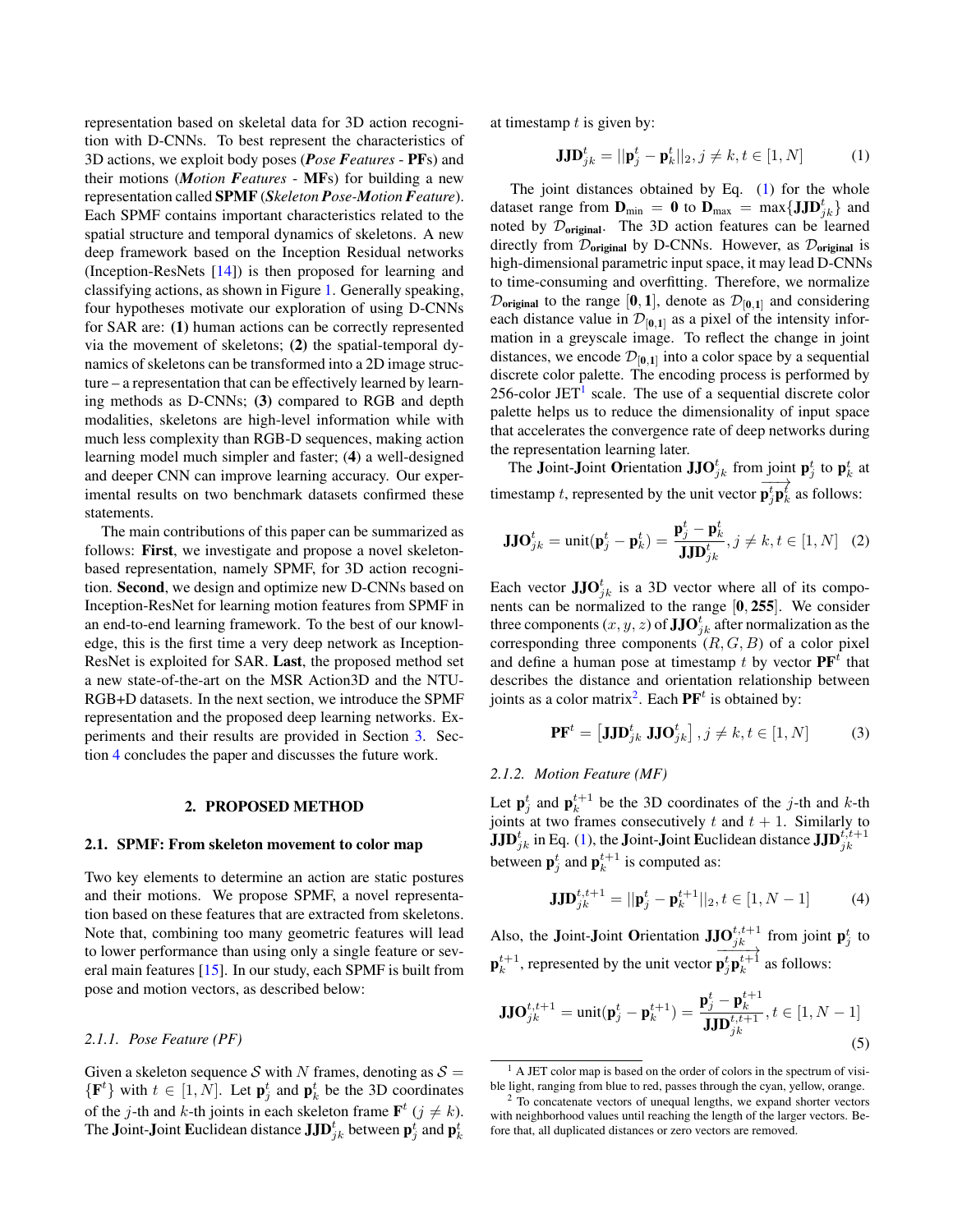representation based on skeletal data for 3D action recognition with D-CNNs. To best represent the characteristics of 3D actions, we exploit body poses (*Pose Features* - PFs) and their motions (*Motion Features* - MFs) for building a new representation called SPMF (*Skeleton Pose-Motion Feature*). Each SPMF contains important characteristics related to the spatial structure and temporal dynamics of skeletons. A new deep framework based on the Inception Residual networks (Inception-ResNets [\[14\]](#page-4-13)) is then proposed for learning and classifying actions, as shown in Figure [1.](#page-0-0) Generally speaking, four hypotheses motivate our exploration of using D-CNNs for SAR are: (1) human actions can be correctly represented via the movement of skeletons; (2) the spatial-temporal dynamics of skeletons can be transformed into a 2D image structure – a representation that can be effectively learned by learning methods as D-CNNs; (3) compared to RGB and depth modalities, skeletons are high-level information while with much less complexity than RGB-D sequences, making action learning model much simpler and faster; (4) a well-designed and deeper CNN can improve learning accuracy. Our experimental results on two benchmark datasets confirmed these statements.

The main contributions of this paper can be summarized as follows: First, we investigate and propose a novel skeletonbased representation, namely SPMF, for 3D action recognition. Second, we design and optimize new D-CNNs based on Inception-ResNet for learning motion features from SPMF in an end-to-end learning framework. To the best of our knowledge, this is the first time a very deep network as Inception-ResNet is exploited for SAR. Last, the proposed method set a new state-of-the-art on the MSR Action3D and the NTU-RGB+D datasets. In the next section, we introduce the SPMF representation and the proposed deep learning networks. Experiments and their results are provided in Section [3.](#page-2-0) Section [4](#page-3-0) concludes the paper and discusses the future work.

#### 2. PROPOSED METHOD

#### 2.1. SPMF: From skeleton movement to color map

Two key elements to determine an action are static postures and their motions. We propose SPMF, a novel representation based on these features that are extracted from skeletons. Note that, combining too many geometric features will lead to lower performance than using only a single feature or several main features [\[15\]](#page-4-14). In our study, each SPMF is built from pose and motion vectors, as described below:

# *2.1.1. Pose Feature (PF)*

Given a skeleton sequence S with N frames, denoting as  $S =$  $\{F^t\}$  with  $t \in [1, N]$ . Let  $p_j^t$  and  $p_k^t$  be the 3D coordinates of the j-th and k-th joints in each skeleton frame  $\mathbf{F}^{t}$  ( $j \neq k$ ). The Joint-Joint Euclidean distance  $\mathbf{JJD}_{jk}^t$  between  $\mathbf{p}_j^t$  and  $\mathbf{p}_k^t$ 

at timestamp  $t$  is given by:

<span id="page-1-0"></span>
$$
\mathbf{JJD}_{jk}^{t} = ||\mathbf{p}_j^{t} - \mathbf{p}_k^{t}||_2, j \neq k, t \in [1, N]
$$
 (1)

The joint distances obtained by Eq.  $(1)$  for the whole dataset range from  $\mathbf{D}_{\text{min}} = \mathbf{0}$  to  $\mathbf{D}_{\text{max}} = \max\{\mathbf{JJD}_{jk}^t\}$  and noted by  $\mathcal{D}_{original}$ . The 3D action features can be learned directly from  $\mathcal{D}_{original}$  by D-CNNs. However, as  $\mathcal{D}_{original}$  is high-dimensional parametric input space, it may lead D-CNNs to time-consuming and overfitting. Therefore, we normalize  $\mathcal{D}_{original}$  to the range [0, 1], denote as  $\mathcal{D}_{[0,1]}$  and considering each distance value in  $\mathcal{D}_{[0,1]}$  as a pixel of the intensity information in a greyscale image. To reflect the change in joint distances, we encode  $\mathcal{D}_{[0,1]}$  into a color space by a sequential discrete color palette. The encoding process is performed by 256-color  $JET<sup>1</sup>$  $JET<sup>1</sup>$  $JET<sup>1</sup>$  scale. The use of a sequential discrete color palette helps us to reduce the dimensionality of input space that accelerates the convergence rate of deep networks during the representation learning later.

The Joint-Joint Orientation JJO $_{jk}^t$  from joint  $\mathbf{p}_j^t$  to  $\mathbf{p}_k^t$  at timestamp  $t$ , represented by the unit vector  $\frac{1}{\sqrt{2}}$  $\mathbf{p}_j^t \mathbf{p}_k^t$  as follows:

$$
\mathbf{JJO}_{jk}^{t} = \text{unit}(\mathbf{p}_{j}^{t} - \mathbf{p}_{k}^{t}) = \frac{\mathbf{p}_{j}^{t} - \mathbf{p}_{k}^{t}}{\mathbf{JJD}_{jk}^{t}}, j \neq k, t \in [1, N] \quad (2)
$$

Each vector  $JJO_{jk}^{t}$  is a 3D vector where all of its components can be normalized to the range [0, 255]. We consider three components  $(x,y,z)$  of  $\mathbf{JJO}_{jk}^t$  after normalization as the corresponding three components  $(R, G, B)$  of a color pixel and define a human pose at timestamp t by vector  $\mathbf{PF}^t$  that describes the distance and orientation relationship between joints as a color matrix<sup>[2](#page-1-2)</sup>. Each  $\mathbf{PF}^t$  is obtained by:

$$
\mathbf{PF}^t = \left[ \mathbf{JJD}_{jk}^t \ \mathbf{JJO}_{jk}^t \right], j \neq k, t \in [1, N] \tag{3}
$$

#### *2.1.2. Motion Feature (MF)*

Let  $\mathbf{p}_j^t$  and  $\mathbf{p}_k^{t+1}$  be the 3D coordinates of the *j*-th and *k*-th joints at two frames consecutively t and  $t + 1$ . Similarly to  $\mathbf{JJD}_{jk}^t$  in Eq. [\(1\)](#page-1-0), the Joint-Joint Euclidean distance  $\mathbf{JJD}_{jk}^{t,t+1}$ between  $\mathbf{p}_j^t$  and  $\mathbf{p}_k^{t+1}$  is computed as:

$$
\mathbf{JJD}_{jk}^{t,t+1} = ||\mathbf{p}_j^t - \mathbf{p}_k^{t+1}||_2, t \in [1, N-1]
$$
 (4)

Also, the Joint-Joint Orientation JJO $_{jk}^{t,t+1}$  from joint  $p_j^t$  to  $\mathbf{p}_k^{t+1}$ , represented by the unit vector  $\longrightarrow$  $\mathbf{p}_j^t \mathbf{p}_k^{t+1}$  as follows:

$$
\mathbf{JJO}_{jk}^{t,t+1} = \text{unit}(\mathbf{p}_j^t - \mathbf{p}_k^{t+1}) = \frac{\mathbf{p}_j^t - \mathbf{p}_k^{t+1}}{\mathbf{JJD}_{jk}^{t,t+1}}, t \in [1, N-1]
$$
\n
$$
\tag{5}
$$

<span id="page-1-1"></span><sup>&</sup>lt;sup>1</sup> A JET color map is based on the order of colors in the spectrum of visible light, ranging from blue to red, passes through the cyan, yellow, orange.

<span id="page-1-2"></span> $2$  To concatenate vectors of unequal lengths, we expand shorter vectors with neighborhood values until reaching the length of the larger vectors. Before that, all duplicated distances or zero vectors are removed.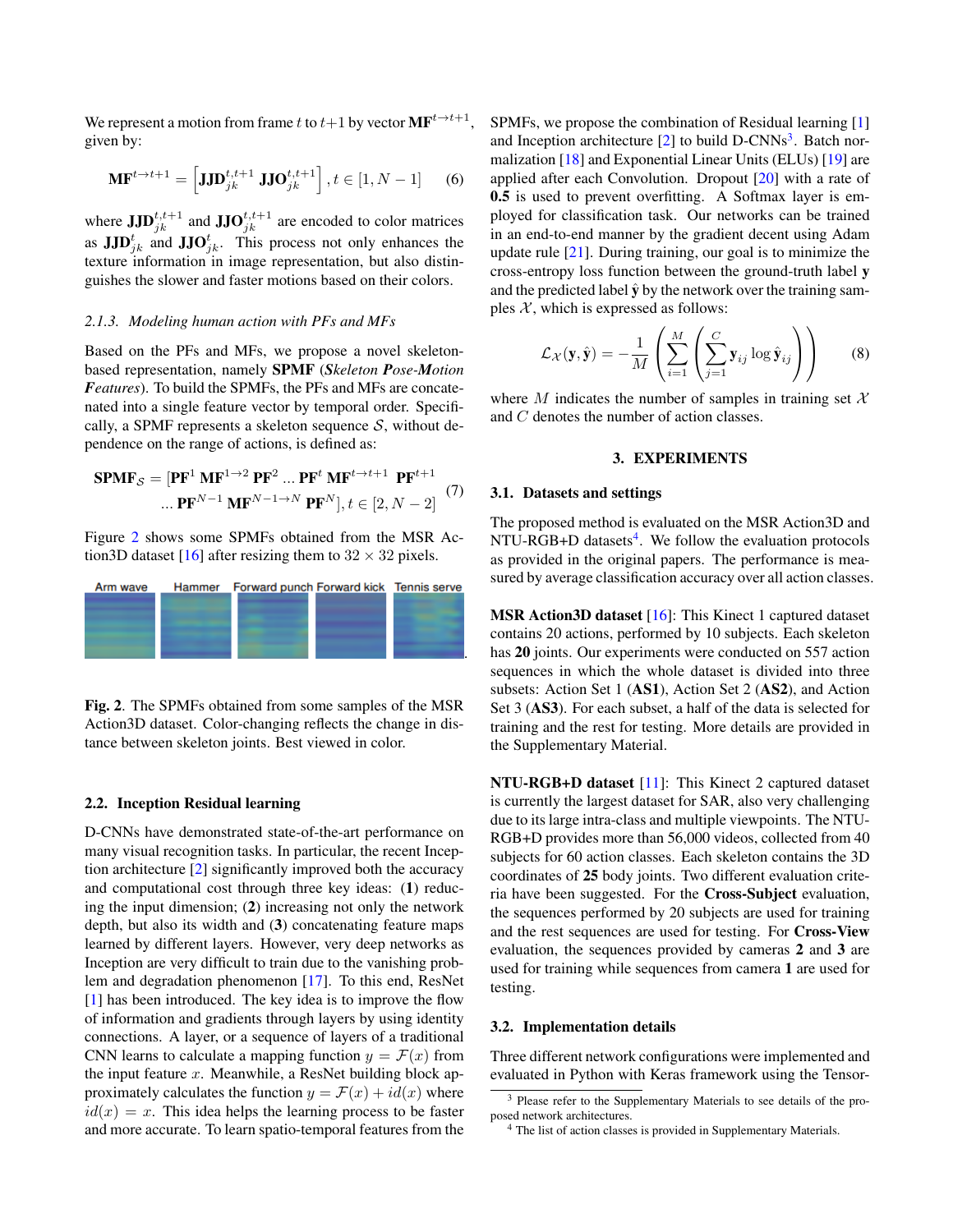We represent a motion from frame t to  $t+1$  by vector  $\textbf{MF}^{t\rightarrow t+1}$ , given by:

$$
\mathbf{M} \mathbf{F}^{t \to t+1} = \left[ \mathbf{J} \mathbf{J} \mathbf{D}_{jk}^{t,t+1} \mathbf{J} \mathbf{J} \mathbf{O}_{jk}^{t,t+1} \right], t \in [1, N-1] \tag{6}
$$

where  $JJD_{jk}^{t,t+1}$  and  $JJO_{jk}^{t,t+1}$  are encoded to color matrices as  $JJD_{jk}^t$  and  $JJO_{jk}^t$ . This process not only enhances the texture information in image representation, but also distinguishes the slower and faster motions based on their colors.

#### *2.1.3. Modeling human action with PFs and MFs*

Based on the PFs and MFs, we propose a novel skeletonbased representation, namely SPMF (*Skeleton Pose-Motion Features*). To build the SPMFs, the PFs and MFs are concatenated into a single feature vector by temporal order. Specifically, a SPMF represents a skeleton sequence  $S$ , without dependence on the range of actions, is defined as:

$$
\mathbf{SPMF}_{\mathcal{S}} = [\mathbf{PF}^1 \ \mathbf{MF}^{1 \to 2} \ \mathbf{PF}^2 \ \dots \ \mathbf{PF}^t \ \mathbf{MF}^{t \to t+1} \ \mathbf{PF}^{t+1}
$$
\n
$$
\dots \mathbf{PF}^{N-1} \ \mathbf{MF}^{N-1 \to N} \ \mathbf{PF}^N |, t \in [2, N-2] \tag{7}
$$

Figure [2](#page-2-1) shows some SPMFs obtained from the MSR Ac-tion3D dataset [\[16\]](#page-4-15) after resizing them to  $32 \times 32$  pixels.



<span id="page-2-1"></span>Fig. 2. The SPMFs obtained from some samples of the MSR Action3D dataset. Color-changing reflects the change in distance between skeleton joints. Best viewed in color.

## 2.2. Inception Residual learning

D-CNNs have demonstrated state-of-the-art performance on many visual recognition tasks. In particular, the recent Inception architecture [\[2\]](#page-4-3) significantly improved both the accuracy and computational cost through three key ideas: (1) reducing the input dimension; (2) increasing not only the network depth, but also its width and (3) concatenating feature maps learned by different layers. However, very deep networks as Inception are very difficult to train due to the vanishing problem and degradation phenomenon [\[17\]](#page-4-16). To this end, ResNet [\[1\]](#page-4-2) has been introduced. The key idea is to improve the flow of information and gradients through layers by using identity connections. A layer, or a sequence of layers of a traditional CNN learns to calculate a mapping function  $y = \mathcal{F}(x)$  from the input feature  $x$ . Meanwhile, a ResNet building block approximately calculates the function  $y = \mathcal{F}(x) + id(x)$  where  $id(x) = x$ . This idea helps the learning process to be faster and more accurate. To learn spatio-temporal features from the SPMFs, we propose the combination of Residual learning [\[1\]](#page-4-2) and Inception architecture [\[2\]](#page-4-3) to build D-CNNs<sup>[3](#page-2-2)</sup>. Batch normalization [\[18\]](#page-4-17) and Exponential Linear Units (ELUs) [\[19\]](#page-4-18) are applied after each Convolution. Dropout [\[20\]](#page-4-19) with a rate of 0.5 is used to prevent overfitting. A Softmax layer is employed for classification task. Our networks can be trained in an end-to-end manner by the gradient decent using Adam update rule  $[21]$ . During training, our goal is to minimize the cross-entropy loss function between the ground-truth label y and the predicted label  $\hat{y}$  by the network over the training samples  $X$ , which is expressed as follows:

$$
\mathcal{L}_{\mathcal{X}}(\mathbf{y}, \hat{\mathbf{y}}) = -\frac{1}{M} \left( \sum_{i=1}^{M} \left( \sum_{j=1}^{C} \mathbf{y}_{ij} \log \hat{\mathbf{y}}_{ij} \right) \right)
$$
(8)

where M indicates the number of samples in training set  $\mathcal{X}$ and C denotes the number of action classes.

#### 3. EXPERIMENTS

#### <span id="page-2-0"></span>3.1. Datasets and settings

The proposed method is evaluated on the MSR Action3D and NTU-RGB+D datasets<sup>[4](#page-2-3)</sup>. We follow the evaluation protocols as provided in the original papers. The performance is measured by average classification accuracy over all action classes.

MSR Action3D dataset [\[16\]](#page-4-15): This Kinect 1 captured dataset contains 20 actions, performed by 10 subjects. Each skeleton has 20 joints. Our experiments were conducted on 557 action sequences in which the whole dataset is divided into three subsets: Action Set 1 (AS1), Action Set 2 (AS2), and Action Set 3 (AS3). For each subset, a half of the data is selected for training and the rest for testing. More details are provided in the Supplementary Material.

NTU-RGB+D dataset [\[11\]](#page-4-10): This Kinect 2 captured dataset is currently the largest dataset for SAR, also very challenging due to its large intra-class and multiple viewpoints. The NTU-RGB+D provides more than 56,000 videos, collected from 40 subjects for 60 action classes. Each skeleton contains the 3D coordinates of 25 body joints. Two different evaluation criteria have been suggested. For the Cross-Subject evaluation, the sequences performed by 20 subjects are used for training and the rest sequences are used for testing. For Cross-View evaluation, the sequences provided by cameras 2 and 3 are used for training while sequences from camera 1 are used for testing.

#### 3.2. Implementation details

Three different network configurations were implemented and evaluated in Python with Keras framework using the Tensor-

<span id="page-2-2"></span><sup>&</sup>lt;sup>3</sup> Please refer to the Supplementary Materials to see details of the proposed network architectures.

<span id="page-2-3"></span><sup>4</sup> The list of action classes is provided in Supplementary Materials.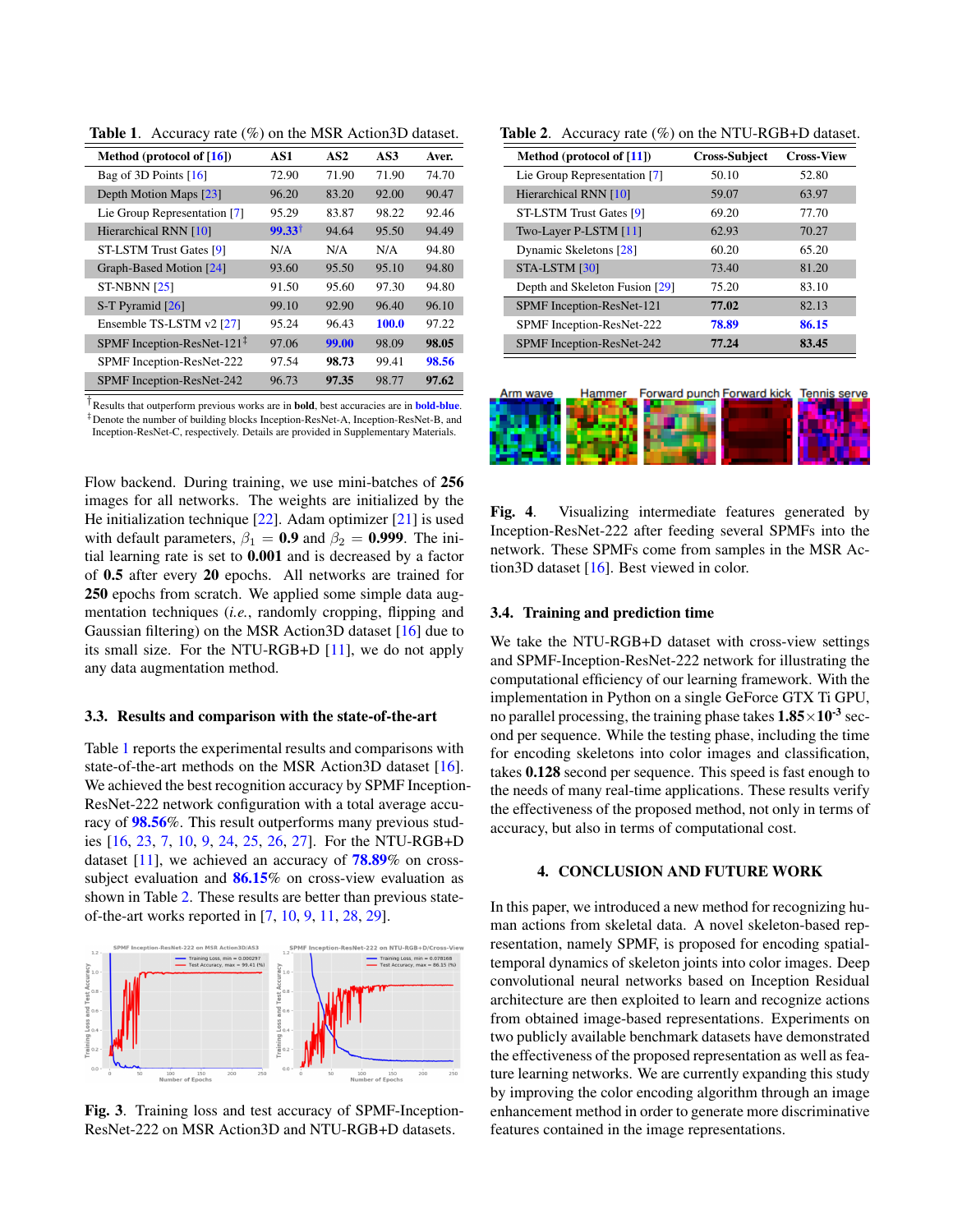| Method (protocol of $[16]$ )  | AS1               | AS <sub>2</sub> | AS3   | Aver. |
|-------------------------------|-------------------|-----------------|-------|-------|
| Bag of 3D Points [16]         | 72.90             | 71.90           | 71.90 | 74.70 |
| Depth Motion Maps [23]        | 96.20             | 83.20           | 92.00 | 90.47 |
| Lie Group Representation [7]  | 95.29             | 83.87           | 98.22 | 92.46 |
| Hierarchical RNN [10]         | $99.33^{\dagger}$ | 94.64           | 95.50 | 94.49 |
| ST-LSTM Trust Gates [9]       | N/A               | N/A             | N/A   | 94.80 |
| Graph-Based Motion [24]       | 93.60             | 95.50           | 95.10 | 94.80 |
| <b>ST-NBNN [25]</b>           | 91.50             | 95.60           | 97.30 | 94.80 |
| S-T Pyramid [26]              | 99.10             | 92.90           | 96.40 | 96.10 |
| Ensemble TS-LSTM v2 [27]      | 95.24             | 96.43           | 100.0 | 97.22 |
| SPMF Inception-ResNet-121 $‡$ | 97.06             | 99.00           | 98.09 | 98.05 |
| SPMF Inception-ResNet-222     | 97.54             | 98.73           | 99.41 | 98.56 |
| SPMF Inception-ResNet-242     | 96.73             | 97.35           | 98.77 | 97.62 |

<span id="page-3-1"></span>Table 1. Accuracy rate (%) on the MSR Action3D dataset.

<sup>†</sup> Results that outperform previous works are in **bold**, best accuracies are in **bold-blue**. ‡Denote the number of building blocks Inception-ResNet-A, Inception-ResNet-B, and Inception-ResNet-C, respectively. Details are provided in Supplementary Materials.

Flow backend. During training, we use mini-batches of 256 images for all networks. The weights are initialized by the He initialization technique [\[22\]](#page-4-26). Adam optimizer [\[21\]](#page-4-20) is used with default parameters,  $\beta_1 = 0.9$  and  $\beta_2 = 0.999$ . The initial learning rate is set to 0.001 and is decreased by a factor of 0.5 after every 20 epochs. All networks are trained for 250 epochs from scratch. We applied some simple data augmentation techniques (*i.e.*, randomly cropping, flipping and Gaussian filtering) on the MSR Action3D dataset [\[16\]](#page-4-15) due to its small size. For the NTU-RGB+D [\[11\]](#page-4-10), we do not apply any data augmentation method.

#### 3.3. Results and comparison with the state-of-the-art

Table [1](#page-3-1) reports the experimental results and comparisons with state-of-the-art methods on the MSR Action3D dataset [\[16\]](#page-4-15). We achieved the best recognition accuracy by SPMF Inception-ResNet-222 network configuration with a total average accuracy of 98.56%. This result outperforms many previous studies [\[16,](#page-4-15) [23,](#page-4-21) [7,](#page-4-6) [10,](#page-4-9) [9,](#page-4-8) [24,](#page-4-22) [25,](#page-4-23) [26,](#page-4-24) [27\]](#page-4-25). For the NTU-RGB+D dataset  $[11]$ , we achieved an accuracy of  $78.89\%$  on crosssubject evaluation and **86.15%** on cross-view evaluation as shown in Table [2.](#page-3-2) These results are better than previous stateof-the-art works reported in [\[7,](#page-4-6) [10,](#page-4-9) [9,](#page-4-8) [11,](#page-4-10) [28,](#page-4-27) [29\]](#page-4-28).



Fig. 3. Training loss and test accuracy of SPMF-Inception-ResNet-222 on MSR Action3D and NTU-RGB+D datasets.

| Method (protocol of $[11]$ )   | <b>Cross-Subject</b> | <b>Cross-View</b> |
|--------------------------------|----------------------|-------------------|
| Lie Group Representation [7]   | 50.10                | 52.80             |
| Hierarchical RNN [10]          | 59.07                | 63.97             |
| ST-LSTM Trust Gates [9]        | 69.20                | 77.70             |
| Two-Layer P-LSTM [11]          | 62.93                | 70.27             |
| Dynamic Skeletons [28]         | 60.20                | 65.20             |
| STA-LSTM [30]                  | 73.40                | 81.20             |
| Depth and Skeleton Fusion [29] | 75.20                | 83.10             |
| SPMF Inception-ResNet-121      | 77.02                | 82.13             |
| SPMF Inception-ResNet-222      | 78.89                | 86.15             |
| SPMF Inception-ResNet-242      | 77.24                | 83.45             |

<span id="page-3-2"></span>Table 2. Accuracy rate (%) on the NTU-RGB+D dataset.



Fig. 4. Visualizing intermediate features generated by Inception-ResNet-222 after feeding several SPMFs into the network. These SPMFs come from samples in the MSR Action3D dataset [\[16\]](#page-4-15). Best viewed in color.

## 3.4. Training and prediction time

We take the NTU-RGB+D dataset with cross-view settings and SPMF-Inception-ResNet-222 network for illustrating the computational efficiency of our learning framework. With the implementation in Python on a single GeForce GTX Ti GPU, no parallel processing, the training phase takes  $1.85 \times 10^{-3}$  second per sequence. While the testing phase, including the time for encoding skeletons into color images and classification, takes 0.128 second per sequence. This speed is fast enough to the needs of many real-time applications. These results verify the effectiveness of the proposed method, not only in terms of accuracy, but also in terms of computational cost.

# 4. CONCLUSION AND FUTURE WORK

<span id="page-3-0"></span>In this paper, we introduced a new method for recognizing human actions from skeletal data. A novel skeleton-based representation, namely SPMF, is proposed for encoding spatialtemporal dynamics of skeleton joints into color images. Deep convolutional neural networks based on Inception Residual architecture are then exploited to learn and recognize actions from obtained image-based representations. Experiments on two publicly available benchmark datasets have demonstrated the effectiveness of the proposed representation as well as feature learning networks. We are currently expanding this study by improving the color encoding algorithm through an image enhancement method in order to generate more discriminative features contained in the image representations.